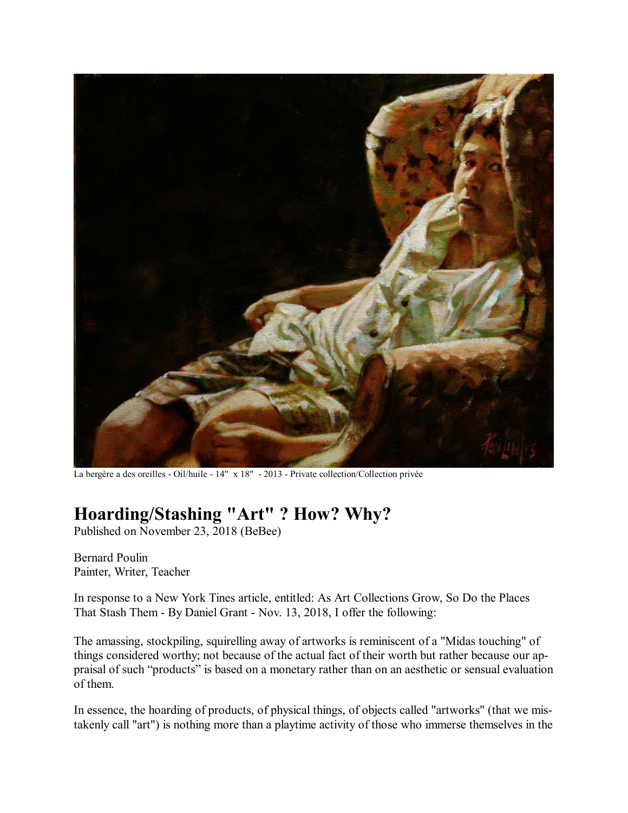

La bergère a des oreilles - Oil/huile - 14" x 18" - 2013 - Private collection/Collection privée

## **Hoarding/Stashing "Art" ? How? Why?**

Published on November 23, 2018 (BeBee)

Bernard Poulin Painter, Writer, Teacher

In response to a New York Tines article, entitled: As Art Collections Grow, So Do the Places That Stash Them - By Daniel Grant - Nov. 13, 2018, I offer the following:

The amassing, stockpiling, squirelling away of artworks is reminiscent of a "Midas touching" of things considered worthy; not because of the actual fact of their worth but rather because our appraisal of such "products" is based on a monetary rather than on an aesthetic or sensual evaluation of them.

In essence, the hoarding of products, of physical things, of objects called "artworks" (that we mistakenly call "art") is nothing more than a playtime activity of those who immerse themselves in the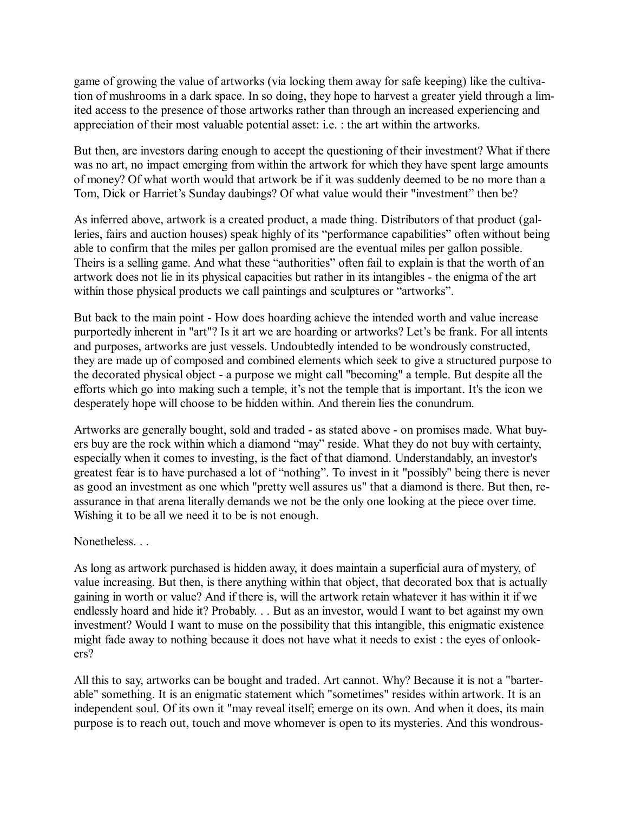game of growing the value of artworks (via locking them away for safe keeping) like the cultivation of mushrooms in a dark space. In so doing, they hope to harvest a greater yield through a limited access to the presence of those artworks rather than through an increased experiencing and appreciation of their most valuable potential asset: i.e. : the art within the artworks.

But then, are investors daring enough to accept the questioning of their investment? What if there was no art, no impact emerging from within the artwork for which they have spent large amounts of money? Of what worth would that artwork be if it was suddenly deemed to be no more than a Tom, Dick or Harriet's Sunday daubings? Of what value would their "investment" then be?

As inferred above, artwork is a created product, a made thing. Distributors of that product (galleries, fairs and auction houses) speak highly of its "performance capabilities" often without being able to confirm that the miles per gallon promised are the eventual miles per gallon possible. Theirs is a selling game. And what these "authorities" often fail to explain is that the worth of an artwork does not lie in its physical capacities but rather in its intangibles - the enigma of the art within those physical products we call paintings and sculptures or "artworks".

But back to the main point - How does hoarding achieve the intended worth and value increase purportedly inherent in "art"? Is it art we are hoarding or artworks? Let's be frank. For all intents and purposes, artworks are just vessels. Undoubtedly intended to be wondrously constructed, they are made up of composed and combined elements which seek to give a structured purpose to the decorated physical object - a purpose we might call "becoming" a temple. But despite all the efforts which go into making such a temple, it's not the temple that is important. It's the icon we desperately hope will choose to be hidden within. And therein lies the conundrum.

Artworks are generally bought, sold and traded - as stated above - on promises made. What buyers buy are the rock within which a diamond "may" reside. What they do not buy with certainty, especially when it comes to investing, is the fact of that diamond. Understandably, an investor's greatest fear is to have purchased a lot of "nothing". To invest in it "possibly" being there is never as good an investment as one which "pretty well assures us" that a diamond is there. But then, reassurance in that arena literally demands we not be the only one looking at the piece over time. Wishing it to be all we need it to be is not enough.

## Nonetheless. . .

As long as artwork purchased is hidden away, it does maintain a superficial aura of mystery, of value increasing. But then, is there anything within that object, that decorated box that is actually gaining in worth or value? And if there is, will the artwork retain whatever it has within it if we endlessly hoard and hide it? Probably. . . But as an investor, would I want to bet against my own investment? Would I want to muse on the possibility that this intangible, this enigmatic existence might fade away to nothing because it does not have what it needs to exist : the eyes of onlookers?

All this to say, artworks can be bought and traded. Art cannot. Why? Because it is not a "barterable" something. It is an enigmatic statement which "sometimes" resides within artwork. It is an independent soul. Of its own it "may reveal itself; emerge on its own. And when it does, its main purpose is to reach out, touch and move whomever is open to its mysteries. And this wondrous